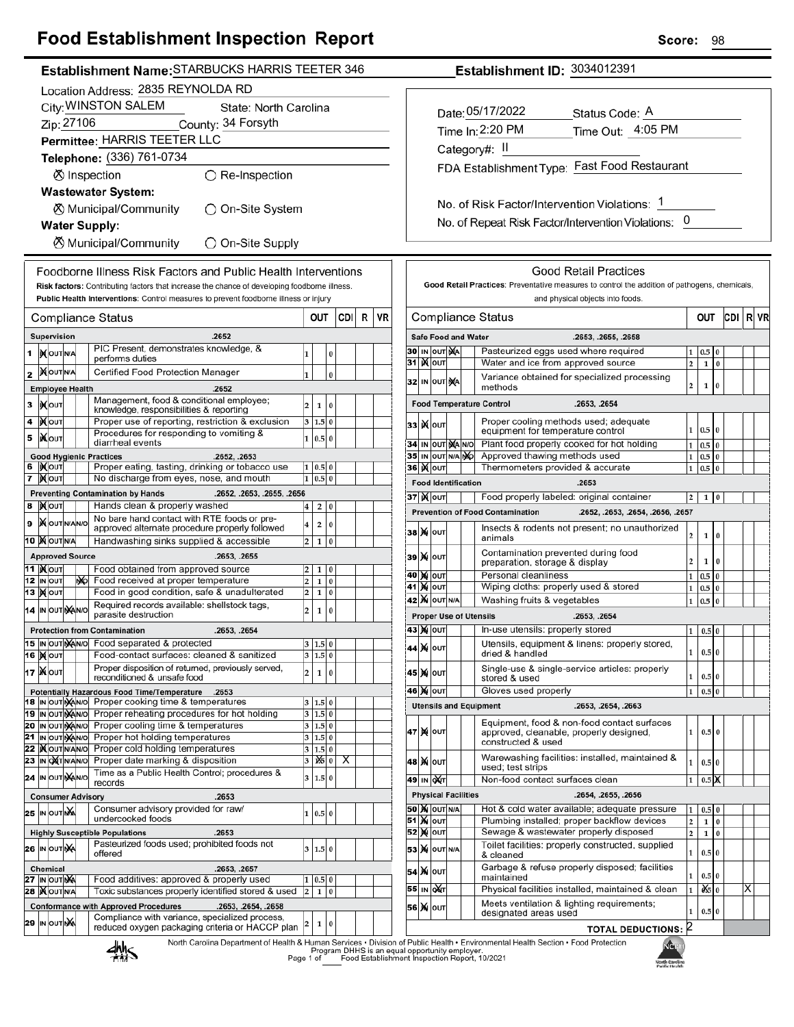# **Food Establishment Inspection Report**

| Establishment Name: STARBUCKS HARRIS TEETER 346                                                                                                                    | Establishment ID: 3034012391                                                                                                                 |  |  |  |  |
|--------------------------------------------------------------------------------------------------------------------------------------------------------------------|----------------------------------------------------------------------------------------------------------------------------------------------|--|--|--|--|
| Location Address: 2835 REYNOLDA RD                                                                                                                                 |                                                                                                                                              |  |  |  |  |
| City: WINSTON SALEM<br>State: North Carolina                                                                                                                       |                                                                                                                                              |  |  |  |  |
| Zip: 27106<br>County: 34 Forsyth                                                                                                                                   | Date: 05/17/2022<br>Status Code: A                                                                                                           |  |  |  |  |
| Permittee: HARRIS TEETER LLC                                                                                                                                       | Time Out: 4:05 PM<br>Time In: 2:20 PM                                                                                                        |  |  |  |  |
|                                                                                                                                                                    | Category#: II                                                                                                                                |  |  |  |  |
| Telephone: (336) 761-0734                                                                                                                                          | FDA Establishment Type: Fast Food Restaurant                                                                                                 |  |  |  |  |
| ⊗ Inspection<br>$\bigcirc$ Re-Inspection                                                                                                                           |                                                                                                                                              |  |  |  |  |
| <b>Wastewater System:</b>                                                                                                                                          |                                                                                                                                              |  |  |  |  |
| ○ On-Site System<br>⊗ Municipal/Community                                                                                                                          | No. of Risk Factor/Intervention Violations: 1                                                                                                |  |  |  |  |
| <b>Water Supply:</b>                                                                                                                                               | No. of Repeat Risk Factor/Intervention Violations: 0                                                                                         |  |  |  |  |
| <b><math>\oslash</math> Municipal/Community</b><br>◯ On-Site Supply                                                                                                |                                                                                                                                              |  |  |  |  |
|                                                                                                                                                                    |                                                                                                                                              |  |  |  |  |
| Foodborne Illness Risk Factors and Public Health Interventions                                                                                                     | <b>Good Retail Practices</b>                                                                                                                 |  |  |  |  |
| Risk factors: Contributing factors that increase the chance of developing foodborne illness.                                                                       | Good Retail Practices: Preventative measures to control the addition of pathogens, chemicals,                                                |  |  |  |  |
| Public Health Interventions: Control measures to prevent foodborne illness or injury                                                                               | and physical objects into foods.                                                                                                             |  |  |  |  |
| <b>CDI</b><br>R<br>VR<br><b>Compliance Status</b><br>OUT                                                                                                           | <b>Compliance Status</b><br> CDI  R  VR<br>OUT                                                                                               |  |  |  |  |
| Supervision<br>.2652                                                                                                                                               | <b>Safe Food and Water</b><br>.2653, .2655, .2658                                                                                            |  |  |  |  |
| PIC Present, demonstrates knowledge, &<br>1   NOUTNA<br>0<br>1<br>performs duties                                                                                  | 30 IN OUT NA<br>Pasteurized eggs used where required<br>1   0.5   0                                                                          |  |  |  |  |
| <b>XOUTNA</b><br>Certified Food Protection Manager<br>1                                                                                                            | 31   X   OUT<br>Water and ice from approved source<br>2 <sup>1</sup><br>$\vert$ 0<br>$\mathbf 1$                                             |  |  |  |  |
| $\mathbf{z}$<br>$\mathbf 0$<br><b>Employee Health</b><br>.2652                                                                                                     | Variance obtained for specialized processing<br>32 IN OUT NA<br>l0<br>2<br>$\mathbf{1}$<br>methods                                           |  |  |  |  |
| Management, food & conditional employee;                                                                                                                           | <b>Food Temperature Control</b><br>.2653, .2654                                                                                              |  |  |  |  |
| 3  IXOUT<br>$\overline{a}$<br>1<br>$\overline{0}$<br>knowledge, responsibilities & reporting                                                                       |                                                                                                                                              |  |  |  |  |
| Proper use of reporting, restriction & exclusion<br>4 $\mathcal{N}$ out<br>3   1.5   0<br>Procedures for responding to vomiting &                                  | Proper cooling methods used; adequate<br>33 K OUT<br>1   0.5   0<br>equipment for temperature control                                        |  |  |  |  |
| <b>XOUT</b><br>5<br>1   0.5   0<br>diarrheal events                                                                                                                | Plant food properly cooked for hot holding<br>34 IN OUT MANO<br>$0.5\vert 0$<br>$\mathbf{1}$                                                 |  |  |  |  |
| <b>Good Hygienic Practices</b><br>.2652, .2653                                                                                                                     | 35 IN OUT N/A NO<br>Approved thawing methods used<br>$0.5\vert 0$<br>$\mathbf{1}$                                                            |  |  |  |  |
| 6   KOUT<br>Proper eating, tasting, drinking or tobacco use<br>1   0.5   0<br>$7$ Mout<br>No discharge from eyes, nose, and mouth<br>1   0.5   0                   | 36   0uT<br>Thermometers provided & accurate<br>0.5<br>$\bf{0}$<br>1.                                                                        |  |  |  |  |
| <b>Preventing Contamination by Hands</b><br>.2652, .2653, .2655, .2656                                                                                             | <b>Food Identification</b><br>.2653                                                                                                          |  |  |  |  |
| 8   N OUT<br>Hands clean & properly washed<br>2 0<br>4                                                                                                             | <b>37 ) (</b>   оит<br>Food properly labeled: original container<br>$2 \mid 1 \mid 0$                                                        |  |  |  |  |
| No bare hand contact with RTE foods or pre-<br>9   OUT N/AN/O<br>$\overline{\mathbf{4}}$<br>2 0                                                                    | <b>Prevention of Food Contamination</b><br>.2652, .2653, .2654, .2656, .2657                                                                 |  |  |  |  |
| approved alternate procedure properly followed                                                                                                                     | Insects & rodents not present; no unauthorized<br><b>38 М</b> ОUТ<br>$\overline{a}$<br>$\mathbf{1}$<br>l 0<br>animals                        |  |  |  |  |
| <b>10 MOUTINA</b><br>Handwashing sinks supplied & accessible<br>2   1   0                                                                                          | Contamination prevented during food                                                                                                          |  |  |  |  |
| <b>Approved Source</b><br>.2653, .2655<br><b>11  </b> Моит<br>Food obtained from approved source<br>$\vert$ 2<br>1 0                                               | 39 X OUT<br>$\overline{2}$<br>1 0<br>preparation, storage & display                                                                          |  |  |  |  |
| 12 IN OUT<br>No Food received at proper temperature<br>$\overline{2}$<br>1 0                                                                                       | 40 M OUT<br>Personal cleanliness<br>$1 \vert 0.5 \vert 0$<br>Wiping cloths: properly used & stored                                           |  |  |  |  |
| Food in good condition, safe & unadulterated<br>$\overline{2}$<br>13   Молт<br>1 0                                                                                 | <b>41 MOUT</b><br>$1 \mid 0.5 \mid 0$<br><b>42 M OUT N/A</b><br>Washing fruits & vegetables<br>1 0.5<br>l0                                   |  |  |  |  |
| Required records available: shellstock tags,<br>$\overline{\mathbf{c}}$<br>14 IN OUT NAINO<br>1 0<br>parasite destruction                                          | <b>Proper Use of Utensils</b><br>.2653, .2654                                                                                                |  |  |  |  |
| .2653, .2654<br><b>Protection from Contamination</b>                                                                                                               | In-use utensils: properly stored<br><b>43 X OUT</b><br>$1 \ 0.5 \ 0$                                                                         |  |  |  |  |
| 15 IN OUT MANO Food separated & protected<br>3   1.5   0                                                                                                           | Utensils, equipment & linens: properly stored,<br>44 X OUT                                                                                   |  |  |  |  |
| 16 MOUT<br>Food-contact surfaces: cleaned & sanitized<br>$3$ 1.5 0                                                                                                 | $\mathbf{1}$<br>$0.5\vert 0$<br>dried & handled                                                                                              |  |  |  |  |
| Proper disposition of returned, previously served,<br>17   NOUT<br>$\overline{\mathbf{c}}$<br>1 0<br>reconditioned & unsafe food                                   | Single-use & single-service articles: properly<br>45 M OUT<br>$0.5\,0$<br>1<br>stored & used                                                 |  |  |  |  |
| Potentially Hazardous Food Time/Temperature .2653                                                                                                                  | Gloves used properly<br><b>46 X</b>   оит<br>$0.5\,0$<br>$\mathbf{1}$                                                                        |  |  |  |  |
| 18 In out Man/o Proper cooking time & temperatures<br>3   1.5   0                                                                                                  | <b>Utensils and Equipment</b><br>.2653, .2654, .2663                                                                                         |  |  |  |  |
| Proper reheating procedures for hot holding<br>19 IN OUT MANO<br>3 1.5 0                                                                                           | Equipment, food & non-food contact surfaces                                                                                                  |  |  |  |  |
| 20 IN OUT MAIN O Proper cooling time & temperatures<br>3 1.5 0<br>21<br>IN OUT MAIN O Proper hot holding temperatures<br>3   1.5   0                               | 47 MOUT<br>1   0.5   0<br>approved, cleanable, properly designed,                                                                            |  |  |  |  |
| 22 Xout NANO Proper cold holding temperatures<br>3   1.5   0                                                                                                       | constructed & used                                                                                                                           |  |  |  |  |
| Proper date marking & disposition<br>23 IN OXT N/AN/O<br>$3 \mathbf{X} 0 $ X                                                                                       | Warewashing facilities: installed, maintained &<br>48 X ouт<br>$\mathbf{1}$<br>$0.5\vert 0$<br>used; test strips                             |  |  |  |  |
| Time as a Public Health Control; procedures &<br>24 IN OUT MANO<br>3   1.5   0<br>records                                                                          | Non-food contact surfaces clean<br>49 IN OXT<br>0.5K<br>1                                                                                    |  |  |  |  |
| <b>Physical Facilities</b><br>.2654, .2655, .2656<br>.2653<br><b>Consumer Advisory</b>                                                                             |                                                                                                                                              |  |  |  |  |
| Consumer advisory provided for raw/<br>25 IN OUT NA<br>1 0.5 0                                                                                                     | <b>50 X OUT N/A</b><br>Hot & cold water available; adequate pressure<br>1   0.5   0                                                          |  |  |  |  |
| undercooked foods                                                                                                                                                  | <b>51 Mout</b><br>Plumbing installed; proper backflow devices<br>2 <sup>1</sup><br>$1\quad0$                                                 |  |  |  |  |
| <b>Highly Susceptible Populations</b><br>.2653<br>Pasteurized foods used; prohibited foods not                                                                     | <b>52 Mour</b><br>Sewage & wastewater properly disposed<br>2 <sup>1</sup><br>$1\vert 0$<br>Toilet facilities: properly constructed, supplied |  |  |  |  |
| 26 IN OUT NA<br>3   1.5   0<br>offered                                                                                                                             | <b>53 X</b> OUT N/A<br>$0.5\,0$<br>1<br>& cleaned                                                                                            |  |  |  |  |
| Chemical<br>.2653, .2657                                                                                                                                           | Garbage & refuse properly disposed; facilities<br>54 X олт<br>0.5 0<br>1                                                                     |  |  |  |  |
| Food additives: approved & properly used<br>27 IN OUT NA<br>1   0.5   0<br>28   OUT N/A<br>Toxic substances properly identified stored & used<br>$2 \mid 1 \mid 0$ | maintained<br>$\overline{0}$ $\overline{5}$ $\overline{0}$<br>55 IN ONT<br>Physical facilities installed, maintained & clean<br>х<br>1       |  |  |  |  |
| <b>Conformance with Approved Procedures</b><br>.2653, .2654, .2658                                                                                                 | Meets ventilation & lighting requirements;                                                                                                   |  |  |  |  |
| Compliance with variance, specialized process,<br>29 IN OUT NA                                                                                                     | 56 X OUT<br>0.5 0<br>1<br>designated areas used                                                                                              |  |  |  |  |
| $\bf{0}$<br>2<br>$\mathbf{1}$<br>reduced oxygen packaging criteria or HACCP plan                                                                                   | <b>TOTAL DEDUCTIONS: 2</b>                                                                                                                   |  |  |  |  |

**TOTAL DEDUCTIONS:**  $|2|$ 



۱ĥ North Carolin<br>Public Month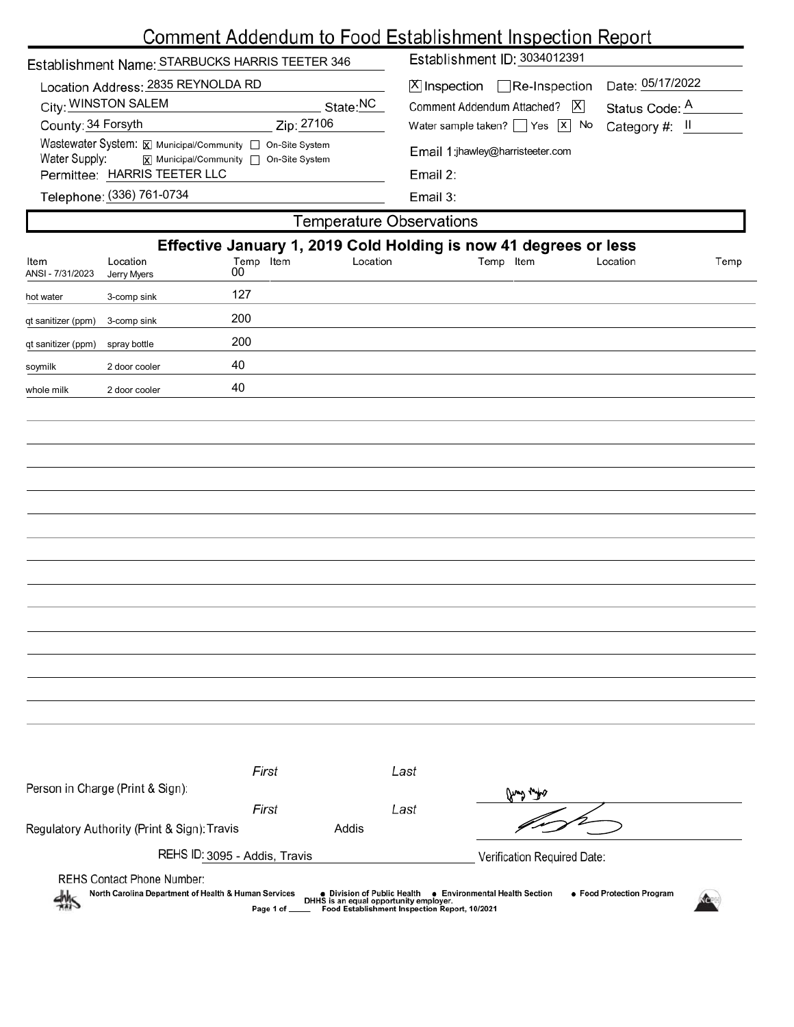## $\overline{\phantom{a}}$

|                                                                       |                                                                                                     |                 |          | <u>Comment Addendum to Food Establishment Inspection Report</u>                                      |           |          |      |
|-----------------------------------------------------------------------|-----------------------------------------------------------------------------------------------------|-----------------|----------|------------------------------------------------------------------------------------------------------|-----------|----------|------|
| Establishment Name: STARBUCKS HARRIS TEETER 346                       |                                                                                                     |                 |          | Establishment ID: 3034012391                                                                         |           |          |      |
| Location Address: 2835 REYNOLDA RD<br>City: WINSTON SALEM<br>State:NC |                                                                                                     |                 |          | Date: 05/17/2022<br>$X$ Inspection Re-Inspection<br>Comment Addendum Attached?   X<br>Status Code: A |           |          |      |
| Zip: 27106<br>County: 34 Forsyth                                      |                                                                                                     |                 |          | Water sample taken? $\Box$ Yes $\Box$ No<br>Category #: II                                           |           |          |      |
| Water Supply:                                                         | Wastewater System: X Municipal/Community   On-Site System<br>■ Municipal/Community □ On-Site System |                 |          | Email 1:jhawley@harristeeter.com                                                                     |           |          |      |
|                                                                       | Permittee: HARRIS TEETER LLC                                                                        |                 |          | Email 2:                                                                                             |           |          |      |
|                                                                       | Telephone: (336) 761-0734                                                                           |                 |          | Email 3:                                                                                             |           |          |      |
|                                                                       |                                                                                                     |                 |          | <b>Temperature Observations</b>                                                                      |           |          |      |
|                                                                       |                                                                                                     |                 |          | Effective January 1, 2019 Cold Holding is now 41 degrees or less                                     |           |          |      |
| Item<br>ANSI - 7/31/2023                                              | Location<br>Jerry Myers                                                                             | Temp Item<br>00 | Location |                                                                                                      | Temp Item | Location | Temp |
| hot water                                                             | 3-comp sink                                                                                         | 127             |          |                                                                                                      |           |          |      |
| qt sanitizer (ppm)                                                    | 3-comp sink                                                                                         | 200             |          |                                                                                                      |           |          |      |
| qt sanitizer (ppm)                                                    | spray bottle                                                                                        | 200             |          |                                                                                                      |           |          |      |
| soymilk                                                               | 2 door cooler                                                                                       | 40              |          |                                                                                                      |           |          |      |
| whole milk                                                            | 2 door cooler                                                                                       | 40              |          |                                                                                                      |           |          |      |
|                                                                       |                                                                                                     |                 |          |                                                                                                      |           |          |      |
|                                                                       |                                                                                                     |                 |          |                                                                                                      |           |          |      |
|                                                                       |                                                                                                     |                 |          |                                                                                                      |           |          |      |
|                                                                       |                                                                                                     |                 |          |                                                                                                      |           |          |      |
|                                                                       |                                                                                                     |                 |          |                                                                                                      |           |          |      |
|                                                                       |                                                                                                     |                 |          |                                                                                                      |           |          |      |
|                                                                       |                                                                                                     |                 |          |                                                                                                      |           |          |      |
|                                                                       |                                                                                                     |                 |          |                                                                                                      |           |          |      |
|                                                                       |                                                                                                     |                 |          |                                                                                                      |           |          |      |
|                                                                       |                                                                                                     |                 |          |                                                                                                      |           |          |      |
|                                                                       |                                                                                                     |                 |          |                                                                                                      |           |          |      |
|                                                                       |                                                                                                     |                 |          |                                                                                                      |           |          |      |
|                                                                       |                                                                                                     |                 |          |                                                                                                      |           |          |      |
|                                                                       |                                                                                                     |                 |          |                                                                                                      |           |          |      |
|                                                                       |                                                                                                     |                 |          |                                                                                                      |           |          |      |
|                                                                       |                                                                                                     | First           |          | Last                                                                                                 |           |          |      |
|                                                                       | Person in Charge (Print & Sign):                                                                    |                 |          |                                                                                                      | and water |          |      |
|                                                                       |                                                                                                     | First           |          | Last                                                                                                 |           |          |      |
|                                                                       | Regulatory Authority (Print & Sign): Travis                                                         |                 | Addis    |                                                                                                      |           |          |      |

REHS Contact Phone Number:

REHS ID: 3095 - Addis, Travis

● Division of Public Health ● Environmental Health Section<br>DHHS is an equal opportunity employer.<br>\_\_\_\_ Food Establishment Inspection Report, 10/2021 • Food Protection Program North Carolina Department of Health & Human Services Page 1 of



Verification Required Date: